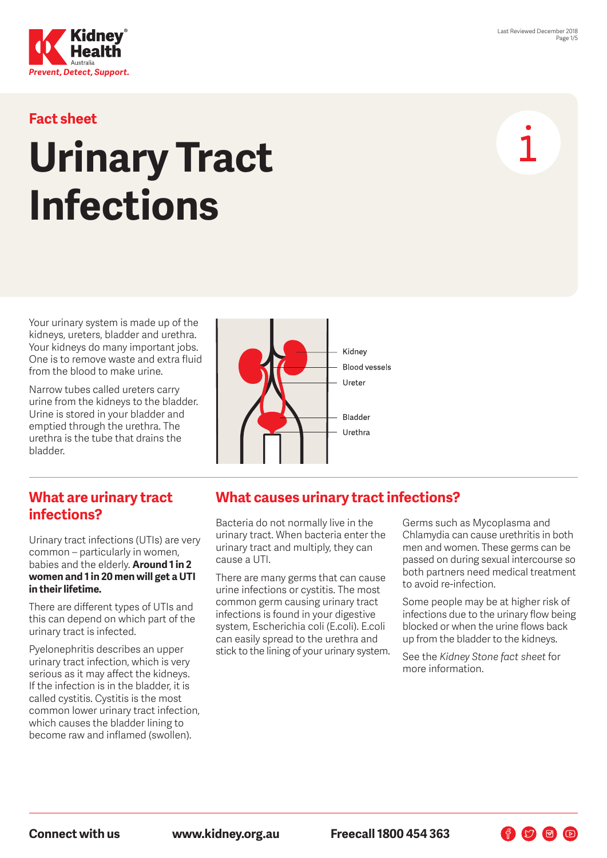

### **Fact sheet**

# **Urinary Tract Infections**

Your urinary system is made up of the kidneys, ureters, bladder and urethra. Your kidneys do many important jobs. One is to remove waste and extra fluid from the blood to make urine.

Narrow tubes called ureters carry urine from the kidneys to the bladder. Urine is stored in your bladder and emptied through the urethra. The urethra is the tube that drains the bladder.



#### **What are urinary tract infections?**

Urinary tract infections (UTIs) are very common – particularly in women, babies and the elderly. **Around 1 in 2 women and 1 in 20 men will get a UTI in their lifetime.**

There are different types of UTIs and this can depend on which part of the urinary tract is infected.

Pyelonephritis describes an upper urinary tract infection, which is very serious as it may affect the kidneys. If the infection is in the bladder, it is called cystitis. Cystitis is the most common lower urinary tract infection, which causes the bladder lining to become raw and inflamed (swollen).

#### **What causes urinary tract infections?**

Bacteria do not normally live in the urinary tract. When bacteria enter the urinary tract and multiply, they can cause a UTI.

There are many germs that can cause urine infections or cystitis. The most common germ causing urinary tract infections is found in your digestive system, Escherichia coli (E.coli). E.coli can easily spread to the urethra and stick to the lining of your urinary system. Germs such as Mycoplasma and Chlamydia can cause urethritis in both men and women. These germs can be passed on during sexual intercourse so both partners need medical treatment to avoid re-infection.

Some people may be at higher risk of infections due to the urinary flow being blocked or when the urine flows back up from the bladder to the kidneys.

See the *Kidney Stone fact sheet* for more information.

 $\begin{picture}(60,6) \put(0,0){\line(1,0){10}} \put(15,0){\line(1,0){10}} \put(15,0){\line(1,0){10}} \put(15,0){\line(1,0){10}} \put(15,0){\line(1,0){10}} \put(15,0){\line(1,0){10}} \put(15,0){\line(1,0){10}} \put(15,0){\line(1,0){10}} \put(15,0){\line(1,0){10}} \put(15,0){\line(1,0){10}} \put(15,0){\line(1,0){10}} \put(15,0){\line(1,$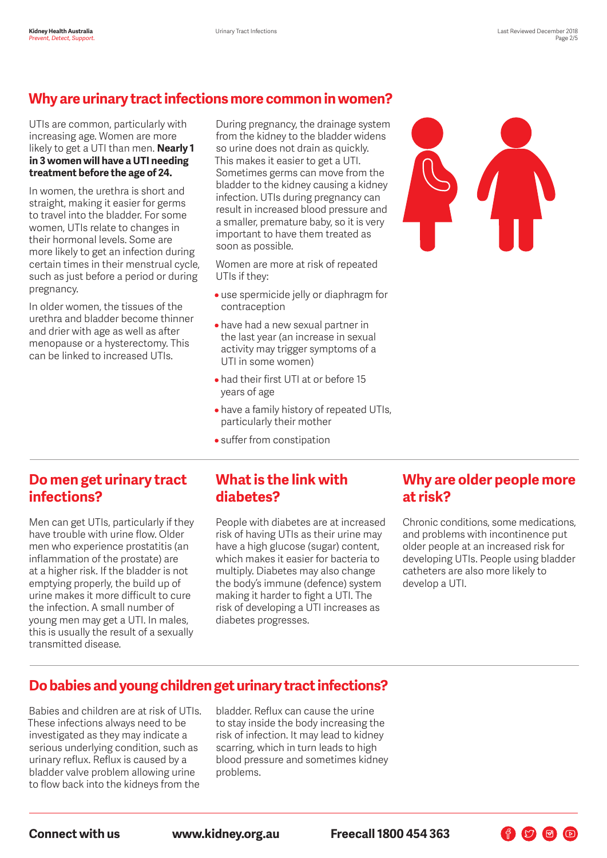# **Why are urinary tract infections more common in women?**

#### UTIs are common, particularly with increasing age. Women are more likely to get a UTI than men. **Nearly 1 in 3 women will have a UTI needing treatment before the age of 24.**

In women, the urethra is short and straight, making it easier for germs to travel into the bladder. For some women, UTIs relate to changes in their hormonal levels. Some are more likely to get an infection during certain times in their menstrual cycle, such as just before a period or during pregnancy.

In older women, the tissues of the urethra and bladder become thinner and drier with age as well as after menopause or a hysterectomy. This can be linked to increased UTIs.

During pregnancy, the drainage system from the kidney to the bladder widens so urine does not drain as quickly. This makes it easier to get a UTI. Sometimes germs can move from the bladder to the kidney causing a kidney infection. UTIs during pregnancy can result in increased blood pressure and a smaller, premature baby, so it is very important to have them treated as soon as possible.

Women are more at risk of repeated UTIs if they:

- use spermicide jelly or diaphragm for contraception
- have had a new sexual partner in the last year (an increase in sexual activity may trigger symptoms of a UTI in some women)
- had their first UTI at or before 15 years of age
- have a family history of repeated UTIs, particularly their mother
- suffer from constipation



#### **Do men get urinary tract infections?**

Men can get UTIs, particularly if they have trouble with urine flow. Older men who experience prostatitis (an inflammation of the prostate) are at a higher risk. If the bladder is not emptying properly, the build up of urine makes it more difficult to cure the infection. A small number of young men may get a UTI. In males, this is usually the result of a sexually transmitted disease.

#### **What is the link with diabetes?**

People with diabetes are at increased risk of having UTIs as their urine may have a high glucose (sugar) content, which makes it easier for bacteria to multiply. Diabetes may also change the body's immune (defence) system making it harder to fight a UTI. The risk of developing a UTI increases as diabetes progresses.

#### **Why are older people more at risk?**

Chronic conditions, some medications, and problems with incontinence put older people at an increased risk for developing UTIs. People using bladder catheters are also more likely to develop a UTI.

FOOD

# **Do babies and young children get urinary tract infections?**

Babies and children are at risk of UTIs. These infections always need to be investigated as they may indicate a serious underlying condition, such as urinary reflux. Reflux is caused by a bladder valve problem allowing urine to flow back into the kidneys from the

bladder. Reflux can cause the urine to stay inside the body increasing the risk of infection. It may lead to kidney scarring, which in turn leads to high blood pressure and sometimes kidney problems.

**Connect with us www.kidney.org.au Freecall 1800 454 363**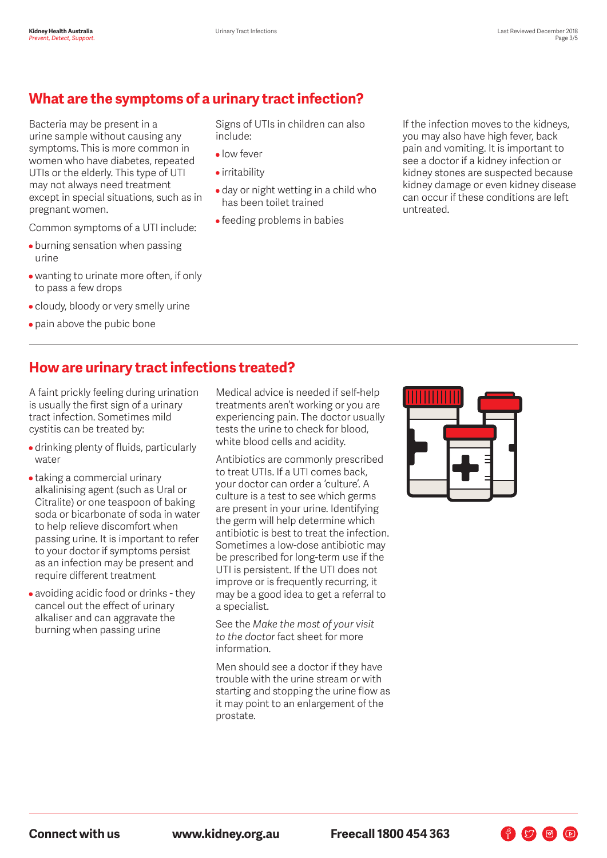# **What are the symptoms of a urinary tract infection?**

Bacteria may be present in a urine sample without causing any symptoms. This is more common in women who have diabetes, repeated UTIs or the elderly. This type of UTI may not always need treatment except in special situations, such as in pregnant women.

Common symptoms of a UTI include:

- burning sensation when passing urine
- wanting to urinate more often, if only to pass a few drops
- cloudy, bloody or very smelly urine
- pain above the pubic bone

Signs of UTIs in children can also include:

- low fever
- irritability
- day or night wetting in a child who has been toilet trained
- feeding problems in babies

If the infection moves to the kidneys, you may also have high fever, back pain and vomiting. It is important to see a doctor if a kidney infection or kidney stones are suspected because kidney damage or even kidney disease can occur if these conditions are left untreated.

## **How are urinary tract infections treated?**

A faint prickly feeling during urination is usually the first sign of a urinary tract infection. Sometimes mild cystitis can be treated by:

- drinking plenty of fluids, particularly water
- taking a commercial urinary alkalinising agent (such as Ural or Citralite) or one teaspoon of baking soda or bicarbonate of soda in water to help relieve discomfort when passing urine. It is important to refer to your doctor if symptoms persist as an infection may be present and require different treatment
- avoiding acidic food or drinks they cancel out the effect of urinary alkaliser and can aggravate the burning when passing urine

Medical advice is needed if self-help treatments aren't working or you are experiencing pain. The doctor usually tests the urine to check for blood, white blood cells and acidity.

Antibiotics are commonly prescribed to treat UTIs. If a UTI comes back, your doctor can order a 'culture'. A culture is a test to see which germs are present in your urine. Identifying the germ will help determine which antibiotic is best to treat the infection. Sometimes a low-dose antibiotic may be prescribed for long-term use if the UTI is persistent. If the UTI does not improve or is frequently recurring, it may be a good idea to get a referral to a specialist.

See the *Make the most of your visit to the doctor* fact sheet for more information.

Men should see a doctor if they have trouble with the urine stream or with starting and stopping the urine flow as it may point to an enlargement of the prostate.



 $\bigoplus$   $\bigcirc$   $\bigoplus$   $\bigcirc$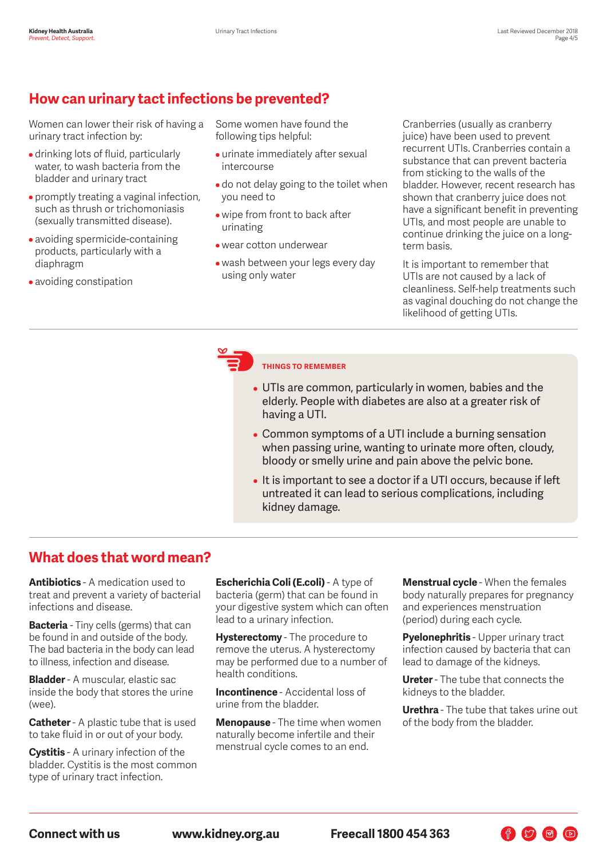# **How can urinary tact infections be prevented?**

Women can lower their risk of having a urinary tract infection by:

- drinking lots of fluid, particularly water, to wash bacteria from the bladder and urinary tract
- promptly treating a vaginal infection, such as thrush or trichomoniasis (sexually transmitted disease).
- avoiding spermicide-containing products, particularly with a diaphragm
- avoiding constipation

Some women have found the following tips helpful:

- urinate immediately after sexual intercourse
- do not delay going to the toilet when you need to
- wipe from front to back after urinating
- wear cotton underwear
- wash between your legs every day using only water

Cranberries (usually as cranberry juice) have been used to prevent recurrent UTIs. Cranberries contain a substance that can prevent bacteria from sticking to the walls of the bladder. However, recent research has shown that cranberry juice does not have a significant benefit in preventing UTIs, and most people are unable to continue drinking the juice on a longterm basis.

It is important to remember that UTIs are not caused by a lack of cleanliness. Self-help treatments such as vaginal douching do not change the likelihood of getting UTIs.

#### **THINGS TO REMEMBER**

- UTIs are common, particularly in women, babies and the elderly. People with diabetes are also at a greater risk of having a UTI.
- Common symptoms of a UTI include a burning sensation when passing urine, wanting to urinate more often, cloudy, bloody or smelly urine and pain above the pelvic bone.
- It is important to see a doctor if a UTI occurs, because if left untreated it can lead to serious complications, including kidney damage.

#### **What does that word mean?**

**Antibiotics** - A medication used to treat and prevent a variety of bacterial infections and disease.

**Bacteria** - Tiny cells (germs) that can be found in and outside of the body. The bad bacteria in the body can lead to illness, infection and disease.

**Bladder** - A muscular, elastic sac inside the body that stores the urine (wee).

**Catheter** - A plastic tube that is used to take fluid in or out of your body.

**Cystitis** - A urinary infection of the bladder. Cystitis is the most common type of urinary tract infection.

**Escherichia Coli (E.coli)** - A type of bacteria (germ) that can be found in your digestive system which can often lead to a urinary infection.

**Hysterectomy** - The procedure to remove the uterus. A hysterectomy may be performed due to a number of health conditions.

**Incontinence** - Accidental loss of urine from the bladder.

**Menopause** - The time when women naturally become infertile and their menstrual cycle comes to an end.

**Menstrual cycle** - When the females body naturally prepares for pregnancy and experiences menstruation (period) during each cycle.

**Pyelonephritis** - Upper urinary tract infection caused by bacteria that can lead to damage of the kidneys.

**Ureter** - The tube that connects the kidneys to the bladder.

**Urethra** - The tube that takes urine out of the body from the bladder.

 $\bigoplus$   $\bigcirc$   $\bigoplus$   $\bigcirc$